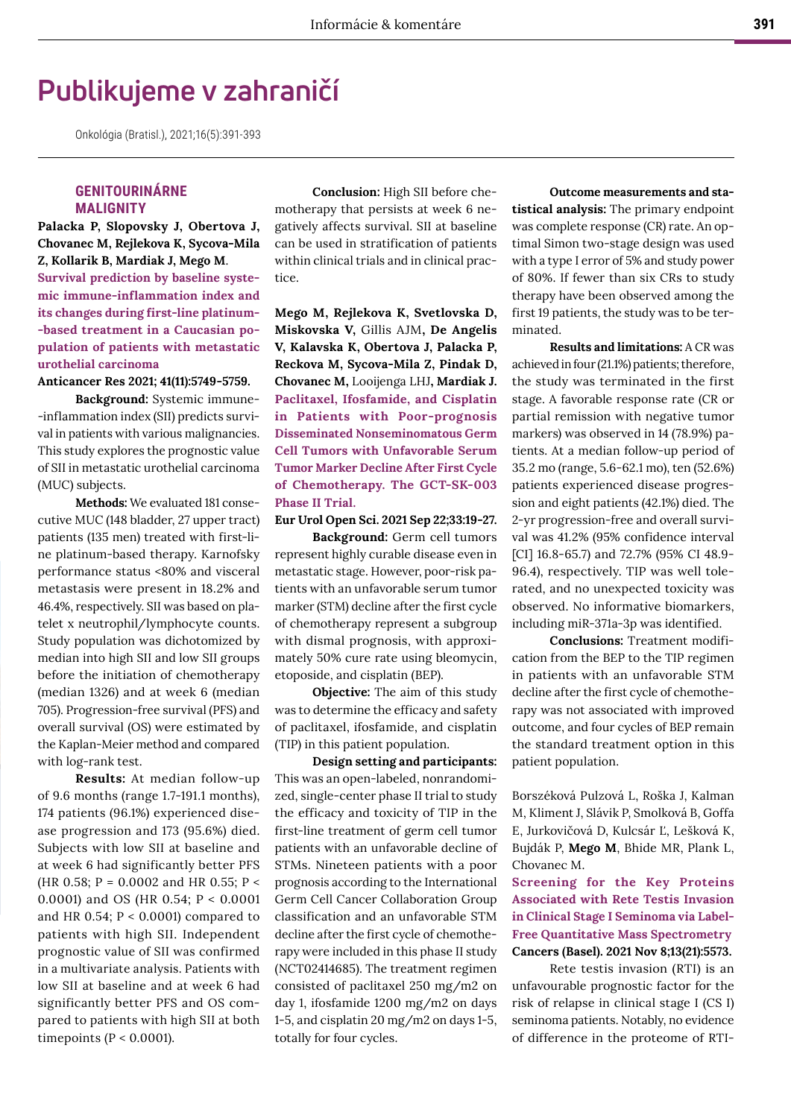# **Publikujeme v zahraničí**

Onkológia (Bratisl.), 2021;16(5):391-393

## **GENITOURINÁRNE MALIGNITY**

**Palacka P, Slopovsky J, Obertova J, Chovanec M, Rejlekova K, Sycova-Mila Z, Kollarik B, Mardiak J, Mego M**. **Survival prediction by baseline systemic immune-inflammation index and its changes during first-line platinum- -based treatment in a Caucasian population of patients with metastatic urothelial carcinoma**

#### **Anticancer Res 2021; 41(11):5749-5759.**

**Background:** Systemic immune- -inflammation index (SII) predicts survival in patients with various malignancies. This study explores the prognostic value of SII in metastatic urothelial carcinoma (MUC) subjects.

**Methods:** We evaluated 181 consecutive MUC (148 bladder, 27 upper tract) patients (135 men) treated with first-line platinum-based therapy. Karnofsky performance status <80% and visceral metastasis were present in 18.2% and 46.4%, respectively. SII was based on platelet x neutrophil/lymphocyte counts. Study population was dichotomized by median into high SII and low SII groups before the initiation of chemotherapy (median 1326) and at week 6 (median 705). Progression-free survival (PFS) and overall survival (OS) were estimated by the Kaplan-Meier method and compared with log-rank test.

**Results:** At median follow-up of 9.6 months (range 1.7-191.1 months), 174 patients (96.1%) experienced disease progression and 173 (95.6%) died. Subjects with low SII at baseline and at week 6 had significantly better PFS (HR 0.58; P = 0.0002 and HR 0.55; P < 0.0001) and OS (HR 0.54; P < 0.0001 and HR 0.54;  $P < 0.0001$ ) compared to patients with high SII. Independent prognostic value of SII was confirmed in a multivariate analysis. Patients with low SII at baseline and at week 6 had significantly better PFS and OS compared to patients with high SII at both timepoints ( $P < 0.0001$ ).

**Conclusion:** High SII before chemotherapy that persists at week 6 negatively affects survival. SII at baseline can be used in stratification of patients within clinical trials and in clinical practice.

**Mego M, Rejlekova K, Svetlovska D, Miskovska V,** Gillis AJM**, De Angelis V, Kalavska K, Obertova J, Palacka P, Reckova M, Sycova-Mila Z, Pindak D, Chovanec M,** Looijenga LHJ**, Mardiak J. Paclitaxel, Ifosfamide, and Cisplatin in Patients with Poor-prognosis Disseminated Nonseminomatous Germ Cell Tumors with Unfavorable Serum Tumor Marker Decline After First Cycle of Chemotherapy. The GCT-SK-003 Phase II Trial.**

**Eur Urol Open Sci. 2021 Sep 22;33:19-27.** 

**Background:** Germ cell tumors represent highly curable disease even in metastatic stage. However, poor-risk patients with an unfavorable serum tumor marker (STM) decline after the first cycle of chemotherapy represent a subgroup with dismal prognosis, with approximately 50% cure rate using bleomycin, etoposide, and cisplatin (BEP).

**Objective:** The aim of this study was to determine the efficacy and safety of paclitaxel, ifosfamide, and cisplatin (TIP) in this patient population.

**Design setting and participants:** This was an open-labeled, nonrandomized, single-center phase II trial to study the efficacy and toxicity of TIP in the first-line treatment of germ cell tumor patients with an unfavorable decline of STMs. Nineteen patients with a poor prognosis according to the International Germ Cell Cancer Collaboration Group classification and an unfavorable STM decline after the first cycle of chemotherapy were included in this phase II study (NCT02414685). The treatment regimen consisted of paclitaxel 250 mg/m2 on day 1, ifosfamide 1200 mg/m2 on days 1-5, and cisplatin 20 mg/m2 on days 1-5, totally for four cycles.

**Outcome measurements and statistical analysis:** The primary endpoint was complete response (CR) rate. An optimal Simon two-stage design was used with a type I error of 5% and study power of 80%. If fewer than six CRs to study therapy have been observed among the first 19 patients, the study was to be terminated.

**Results and limitations:** A CR was achieved in four (21.1%) patients; therefore, the study was terminated in the first stage. A favorable response rate (CR or partial remission with negative tumor markers) was observed in 14 (78.9%) patients. At a median follow-up period of 35.2 mo (range, 5.6-62.1 mo), ten (52.6%) patients experienced disease progression and eight patients (42.1%) died. The 2-yr progression-free and overall survival was 41.2% (95% confidence interval [CI] 16.8-65.7) and 72.7% (95% CI 48.9- 96.4), respectively. TIP was well tolerated, and no unexpected toxicity was observed. No informative biomarkers, including miR-371a-3p was identified.

**Conclusions:** Treatment modification from the BEP to the TIP regimen in patients with an unfavorable STM decline after the first cycle of chemotherapy was not associated with improved outcome, and four cycles of BEP remain the standard treatment option in this patient population.

Borszéková Pulzová L, Roška J, Kalman M, Kliment J, Slávik P, Smolková B, Goffa E, Jurkovičová D, Kulcsár Ľ, Lešková K, Bujdák P, **Mego M**, Bhide MR, Plank L, Chovanec M.

**Screening for the Key Proteins Associated with Rete Testis Invasion in Clinical Stage I Seminoma via Label-Free Quantitative Mass Spectrometry Cancers (Basel). 2021 Nov 8;13(21):5573.** 

Rete testis invasion (RTI) is an unfavourable prognostic factor for the risk of relapse in clinical stage I (CS I) seminoma patients. Notably, no evidence of difference in the proteome of RTI-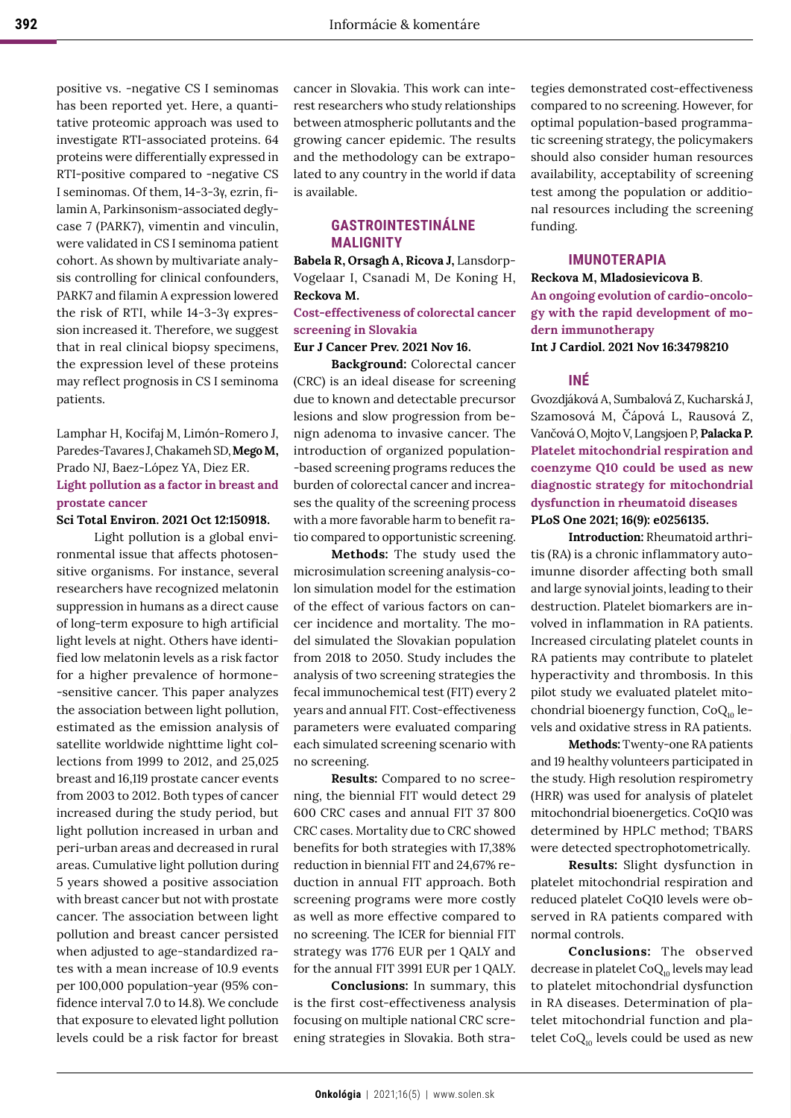positive vs. -negative CS I seminomas has been reported yet. Here, a quantitative proteomic approach was used to investigate RTI-associated proteins. 64 proteins were differentially expressed in RTI-positive compared to -negative CS I seminomas. Of them, 14-3-3γ, ezrin, filamin A, Parkinsonism-associated deglycase 7 (PARK7), vimentin and vinculin, were validated in CS I seminoma patient cohort. As shown by multivariate analysis controlling for clinical confounders, PARK7 and filamin A expression lowered the risk of RTI, while 14-3-3γ expression increased it. Therefore, we suggest that in real clinical biopsy specimens, the expression level of these proteins may reflect prognosis in CS I seminoma patients.

# Lamphar H, Kocifaj M, Limón-Romero J, Paredes-Tavares J, Chakameh SD, **Mego M,** Prado NJ, Baez-López YA, Diez ER. **Light pollution as a factor in breast and prostate cancer**

#### **Sci Total Environ. 2021 Oct 12:150918.**

Light pollution is a global environmental issue that affects photosensitive organisms. For instance, several researchers have recognized melatonin suppression in humans as a direct cause of long-term exposure to high artificial light levels at night. Others have identified low melatonin levels as a risk factor for a higher prevalence of hormone- -sensitive cancer. This paper analyzes the association between light pollution, estimated as the emission analysis of satellite worldwide nighttime light collections from 1999 to 2012, and 25,025 breast and 16,119 prostate cancer events from 2003 to 2012. Both types of cancer increased during the study period, but light pollution increased in urban and peri-urban areas and decreased in rural areas. Cumulative light pollution during 5 years showed a positive association with breast cancer but not with prostate cancer. The association between light pollution and breast cancer persisted when adjusted to age-standardized rates with a mean increase of 10.9 events per 100,000 population-year (95% confidence interval 7.0 to 14.8). We conclude that exposure to elevated light pollution levels could be a risk factor for breast

cancer in Slovakia. This work can interest researchers who study relationships between atmospheric pollutants and the growing cancer epidemic. The results and the methodology can be extrapolated to any country in the world if data is available.

# **GASTROINTESTINÁLNE MALIGNITY**

**Babela R, Orsagh A, Ricova J,** Lansdorp-Vogelaar I, Csanadi M, De Koning H, **Reckova M.** 

### **Cost-effectiveness of colorectal cancer screening in Slovakia**

**Eur J Cancer Prev. 2021 Nov 16.**

**Background:** Colorectal cancer (CRC) is an ideal disease for screening due to known and detectable precursor lesions and slow progression from benign adenoma to invasive cancer. The introduction of organized population- -based screening programs reduces the burden of colorectal cancer and increases the quality of the screening process with a more favorable harm to benefit ratio compared to opportunistic screening.

**Methods:** The study used the microsimulation screening analysis-colon simulation model for the estimation of the effect of various factors on cancer incidence and mortality. The model simulated the Slovakian population from 2018 to 2050. Study includes the analysis of two screening strategies the fecal immunochemical test (FIT) every 2 years and annual FIT. Cost-effectiveness parameters were evaluated comparing each simulated screening scenario with no screening.

**Results:** Compared to no screening, the biennial FIT would detect 29 600 CRC cases and annual FIT 37 800 CRC cases. Mortality due to CRC showed benefits for both strategies with 17,38% reduction in biennial FIT and 24,67% reduction in annual FIT approach. Both screening programs were more costly as well as more effective compared to no screening. The ICER for biennial FIT strategy was 1776 EUR per 1 QALY and for the annual FIT 3991 EUR per 1 QALY.

**Conclusions:** In summary, this is the first cost-effectiveness analysis focusing on multiple national CRC screening strategies in Slovakia. Both strategies demonstrated cost-effectiveness compared to no screening. However, for optimal population-based programmatic screening strategy, the policymakers should also consider human resources availability, acceptability of screening test among the population or additional resources including the screening funding.

## **IMUNOTERAPIA**

**Reckova M, Mladosievicova B**. **An ongoing evolution of cardio-oncology with the rapid development of modern immunotherapy Int J Cardiol. 2021 Nov 16:34798210**

### **INÉ**

Gvozdjáková A, Sumbalová Z, Kucharská J, Szamosová M, Čápová L, Rausová Z, Vančová O, Mojto V, Langsjoen P, **Palacka P. Platelet mitochondrial respiration and coenzyme Q10 could be used as new diagnostic strategy for mitochondrial dysfunction in rheumatoid diseases PLoS One 2021; 16(9): e0256135.** 

**Introduction:** Rheumatoid arthritis (RA) is a chronic inflammatory autoimunne disorder affecting both small and large synovial joints, leading to their destruction. Platelet biomarkers are involved in inflammation in RA patients. Increased circulating platelet counts in RA patients may contribute to platelet hyperactivity and thrombosis. In this pilot study we evaluated platelet mitochondrial bioenergy function,  $CoQ<sub>10</sub>$  levels and oxidative stress in RA patients.

**Methods:** Twenty-one RA patients and 19 healthy volunteers participated in the study. High resolution respirometry (HRR) was used for analysis of platelet mitochondrial bioenergetics. CoQ10 was determined by HPLC method; TBARS were detected spectrophotometrically.

**Results:** Slight dysfunction in platelet mitochondrial respiration and reduced platelet CoQ10 levels were observed in RA patients compared with normal controls.

**Conclusions:** The observed decrease in platelet  $CoQ<sub>10</sub>$  levels may lead to platelet mitochondrial dysfunction in RA diseases. Determination of platelet mitochondrial function and platelet  $CoQ_{10}$  levels could be used as new